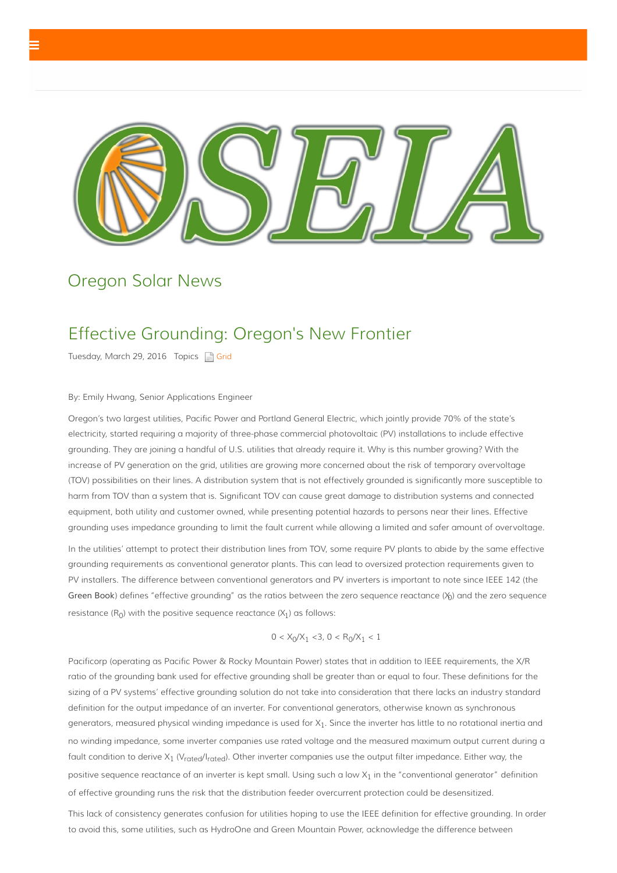

# Oregon Solar News

## Effective Grounding: Oregon's New Frontier

Tuesday, March 29, 2016 Topics | [Grid](?category=Grid)

#### By: Emily Hwang, Senior Applications Engineer

Oregon's two largest utilities, Pacific Power and Portland General Electric, which jointly provide 70% of the state's electricity, started requiring a majority of three-phase commercial photovoltaic (PV) installations to include effective grounding. They are joining a handful of U.S. utilities that already require it. Why is this number growing? With the increase of PV generation on the grid, utilities are growing more concerned about the risk of temporary overvoltage (TOV) possibilities on their lines. A distribution system that is not effectively grounded is significantly more susceptible to harm from TOV than a system that is. Significant TOV can cause great damage to distribution systems and connected equipment, both utility and customer owned, while presenting potential hazards to persons near their lines. Effective grounding uses impedance grounding to limit the fault current while allowing a limited and safer amount of overvoltage.

In the utilities' attempt to protect their distribution lines from TOV, some require PV plants to abide by the same effective grounding requirements as conventional generator plants. This can lead to oversized protection requirements given to PV installers. The difference between conventional generators and PV inverters is important to note since IEEE 142 (the Green Book) defines "effective grounding" as the ratios between the zero sequence reactance  $(\chi_0)$  and the zero sequence resistance  $(R_0)$  with the positive sequence reactance  $(X_1)$  as follows:

$$
0 < X_0/X_1 < 3, 0 < R_0/X_1 < 1
$$

Pacificorp (operating as Pacific Power & Rocky Mountain Power) states that in addition to IEEE requirements, the X/R ratio of the grounding bank used for effective grounding shall be greater than or equal to four. These definitions for the sizing of a PV systems' effective grounding solution do not take into consideration that there lacks an industry standard definition for the output impedance of an inverter. For conventional generators, otherwise known as synchronous generators, measured physical winding impedance is used for  $X_1$ . Since the inverter has little to no rotational inertia and no winding impedance, some inverter companies use rated voltage and the measured maximum output current during a fault condition to derive  $X_1$  (V<sub>rated</sub>/I<sub>rated</sub>). Other inverter companies use the output filter impedance. Either way, the positive sequence reactance of an inverter is kept small. Using such a low X<sub>1</sub> in the "conventional generator" definition of effective grounding runs the risk that the distribution feeder overcurrent protection could be desensitized.

This lack of consistency generates confusion for utilities hoping to use the IEEE definition for effective grounding. In order to avoid this, some utilities, such as HydroOne and Green Mountain Power, acknowledge the difference between